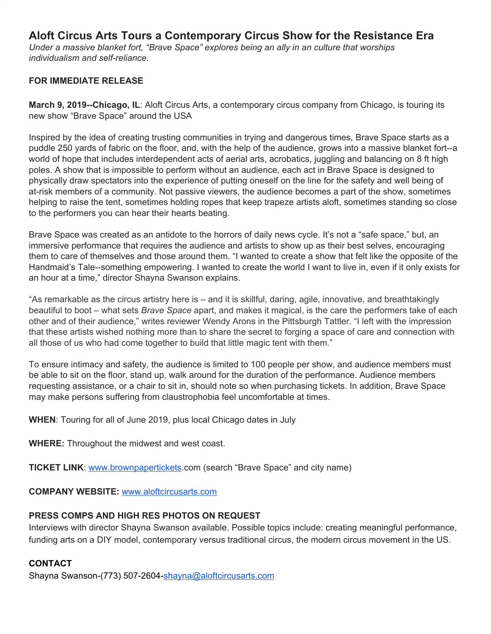# **Aloft Circus Arts Tours a Contemporary Circus Show for the Resistance Era**

*Under a massive blanket fort, "Brave Space" explores being an ally in an culture that worships individualism and self-reliance.*

## **FOR IMMEDIATE RELEASE**

**March 9, 2019--Chicago, IL**: Aloft Circus Arts, a contemporary circus company from Chicago, is touring its new show "Brave Space" around the USA

Inspired by the idea of creating trusting communities in trying and dangerous times, Brave Space starts as a puddle 250 yards of fabric on the floor, and, with the help of the audience, grows into a massive blanket fort--a world of hope that includes interdependent acts of aerial arts, acrobatics, juggling and balancing on 8 ft high poles. A show that is impossible to perform without an audience, each act in Brave Space is designed to physically draw spectators into the experience of putting oneself on the line for the safety and well being of at-risk members of a community. Not passive viewers, the audience becomes a part of the show, sometimes helping to raise the tent, sometimes holding ropes that keep trapeze artists aloft, sometimes standing so close to the performers you can hear their hearts beating.

Brave Space was created as an antidote to the horrors of daily news cycle. It's not a "safe space," but, an immersive performance that requires the audience and artists to show up as their best selves, encouraging them to care of themselves and those around them. "I wanted to create a show that felt like the opposite of the Handmaid's Tale--something empowering. I wanted to create the world I want to live in, even if it only exists for an hour at a time," director Shayna Swanson explains.

"As remarkable as the circus artistry here is – and it is skillful, daring, agile, innovative, and breathtakingly beautiful to boot – what sets *Brave Space* apart, and makes it magical, is the care the performers take of each other and of their audience," writes reviewer Wendy Arons in the Pittsburgh Tattler. "I left with the impression that these artists wished nothing more than to share the secret to forging a space of care and connection with all those of us who had come together to build that little magic tent with them."

To ensure intimacy and safety, the audience is limited to 100 people per show, and audience members must be able to sit on the floor, stand up, walk around for the duration of the performance. Audience members requesting assistance, or a chair to sit in, should note so when purchasing tickets. In addition, Brave Space may make persons suffering from claustrophobia feel uncomfortable at times.

**WHEN**: Touring for all of June 2019, plus local Chicago dates in July

**WHERE:** Throughout the midwest and west coast.

**TICKET LINK**: [www.brownpapertickets](http://www.brownpapertickets/).com (search "Brave Space" and city name)

**COMPANY WEBSITE:** [www.aloftcircusarts.com](http://www.aloftcircusarts.com/)

## **PRESS COMPS AND HIGH RES PHOTOS ON REQUEST**

Interviews with director Shayna Swanson available. Possible topics include: creating meaningful performance, funding arts on a DIY model, contemporary versus traditional circus, the modern circus movement in the US.

# **CONTACT**

Shayna Swanson-(773) 507-2604[-shayna@aloftcircusarts.com](mailto:shayna@aloftcircusarts.com)